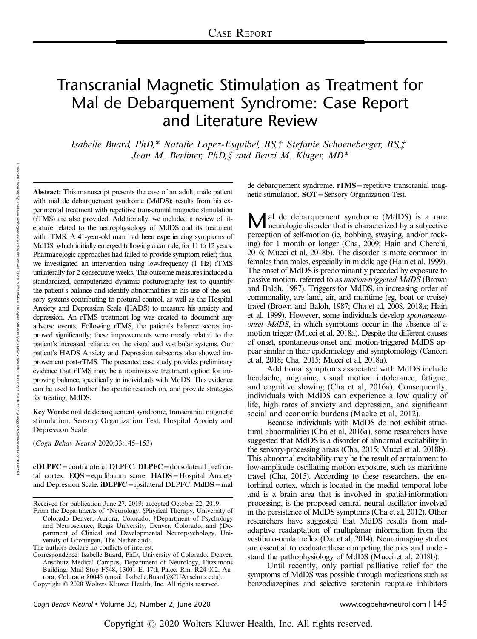# Transcranial Magnetic Stimulation as Treatment for Mal de Debarquement Syndrome: Case Report and Literature Review

Isabelle Buard, PhD,\* Natalie Lopez-Esquibel, BS,† Stefanie Schoeneberger, BS,‡ Jean M. Berliner, PhD,  $\oint$  and Benzi M. Kluger, MD\*

Abstract: This manuscript presents the case of an adult, male patient with mal de debarquement syndrome (MdDS); results from his experimental treatment with repetitive transcranial magnetic stimulation (rTMS) are also provided. Additionally, we included a review of literature related to the neurophysiology of MdDS and its treatment with rTMS. A 41-year-old man had been experiencing symptoms of MdDS, which initially emerged following a car ride, for 11 to 12 years. Pharmacologic approaches had failed to provide symptom relief; thus, we investigated an intervention using low-frequency (1 Hz) rTMS unilaterally for 2 consecutive weeks. The outcome measures included a standardized, computerized dynamic posturography test to quantify the patient's balance and identify abnormalities in his use of the sensory systems contributing to postural control, as well as the Hospital Anxiety and Depression Scale (HADS) to measure his anxiety and depression. An rTMS treatment log was created to document any adverse events. Following rTMS, the patient's balance scores improved significantly; these improvements were mostly related to the patient's increased reliance on the visual and vestibular systems. Our patient's HADS Anxiety and Depression subscores also showed improvement post-rTMS. The presented case study provides preliminary evidence that rTMS may be a noninvasive treatment option for improving balance, specifically in individuals with MdDS. This evidence can be used to further therapeutic research on, and provide strategies for treating, MdDS.

Key Words: mal de debarquement syndrome, transcranial magnetic stimulation, Sensory Organization Test, Hospital Anxiety and Depression Scale

(Cogn Behav Neurol 2020;33:145–153)

cDLPFC =contralateral DLPFC. DLPFC =dorsolateral prefrontal cortex. EQS=equilibrium score. HADS= Hospital Anxiety and Depression Scale. **iDLPFC** = ipsilateral DLPFC. MdDS = mal

The authors declare no conflicts of interest.

Copyright © 2020 Wolters Kluwer Health, Inc. All rights reserved.

de debarquement syndrome. rTMS=repetitive transcranial magnetic stimulation. SOT=Sensory Organization Test.

Mal de debarquement syndrome (MdDS) is a rare<br>neurologic disorder that is characterized by a subjective<br>neurologic disorder that is characterized by a subjective perception of self-motion (ie, bobbing, swaying, and/or rocking) for 1 month or longer (Cha, 2009; Hain and Cherchi, 2016; Mucci et al, 2018b). The disorder is more common in females than males, especially in middle age (Hain et al, 1999). The onset of MdDS is predominantly preceded by exposure to passive motion, referred to as *motion-triggered MdDS* (Brown and Baloh, 1987). Triggers for MdDS, in increasing order of commonality, are land, air, and maritime (eg, boat or cruise) travel (Brown and Baloh, 1987; Cha et al, 2008, 2018a; Hain et al, 1999). However, some individuals develop spontaneousonset MdDS, in which symptoms occur in the absence of a motion trigger (Mucci et al, 2018a). Despite the different causes of onset, spontaneous-onset and motion-triggered MdDS appear similar in their epidemiology and symptomology (Canceri et al, 2018; Cha, 2015; Mucci et al, 2018a).

Additional symptoms associated with MdDS include headache, migraine, visual motion intolerance, fatigue, and cognitive slowing (Cha et al, 2016a). Consequently, individuals with MdDS can experience a low quality of life, high rates of anxiety and depression, and significant social and economic burdens (Macke et al, 2012).

Because individuals with MdDS do not exhibit structural abnormalities (Cha et al, 2016a), some researchers have suggested that MdDS is a disorder of abnormal excitability in the sensory-processing areas (Cha, 2015; Mucci et al, 2018b). This abnormal excitability may be the result of entrainment to low-amplitude oscillating motion exposure, such as maritime travel (Cha, 2015). According to these researchers, the entorhinal cortex, which is located in the medial temporal lobe and is a brain area that is involved in spatial-information processing, is the proposed central neural oscillator involved in the persistence of MdDS symptoms (Cha et al, 2012). Other researchers have suggested that MdDS results from maladaptive readaptation of multiplanar information from the vestibulo-ocular reflex (Dai et al, 2014). Neuroimaging studies are essential to evaluate these competing theories and understand the pathophysiology of MdDS (Mucci et al, 2018b).

Until recently, only partial palliative relief for the symptoms of MdDS was possible through medications such as benzodiazepines and selective serotonin reuptake inhibitors

Cogn Behav Neurol • Volume 33, Number 2, June 2020 www.cogbehavneurol.com | 145

Received for publication June 27, 2019; accepted October 22, 2019.

From the Departments of \*Neurology; §Physical Therapy, University of Colorado Denver, Aurora, Colorado; †Department of Psychology and Neuroscience, Regis University, Denver, Colorado; and ‡Department of Clinical and Developmental Neuropsychology, University of Groningen, The Netherlands.

Correspondence: Isabelle Buard, PhD, University of Colorado, Denver, Anschutz Medical Campus, Department of Neurology, Fitzsimons Building, Mail Stop F548, 13001 E. 17th Place, Rm. R24-002, Aurora, Colorado 80045 (email: Isabelle.Buard@CUAnschutz.edu).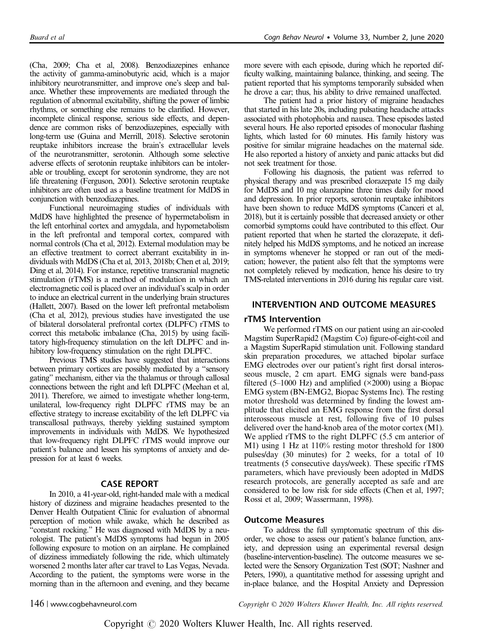(Cha, 2009; Cha et al, 2008). Benzodiazepines enhance the activity of gamma-aminobutyric acid, which is a major inhibitory neurotransmitter, and improve one's sleep and balance. Whether these improvements are mediated through the regulation of abnormal excitability, shifting the power of limbic rhythms, or something else remains to be clarified. However, incomplete clinical response, serious side effects, and dependence are common risks of benzodiazepines, especially with long-term use (Guina and Merrill, 2018). Selective serotonin reuptake inhibitors increase the brain's extracellular levels of the neurotransmitter, serotonin. Although some selective adverse effects of serotonin reuptake inhibitors can be intolerable or troubling, except for serotonin syndrome, they are not life threatening (Ferguson, 2001). Selective serotonin reuptake inhibitors are often used as a baseline treatment for MdDS in conjunction with benzodiazepines.

Functional neuroimaging studies of individuals with MdDS have highlighted the presence of hypermetabolism in the left entorhinal cortex and amygdala, and hypometabolism in the left prefrontal and temporal cortex, compared with normal controls (Cha et al, 2012). External modulation may be an effective treatment to correct aberrant excitability in individuals with MdDS (Cha et al, 2013, 2018b; Chen et al, 2019; Ding et al, 2014). For instance, repetitive transcranial magnetic stimulation (rTMS) is a method of modulation in which an electromagnetic coil is placed over an individual's scalp in order to induce an electrical current in the underlying brain structures (Hallett, 2007). Based on the lower left prefrontal metabolism (Cha et al, 2012), previous studies have investigated the use of bilateral dorsolateral prefrontal cortex (DLPFC) rTMS to correct this metabolic imbalance (Cha, 2015) by using facilitatory high-frequency stimulation on the left DLPFC and inhibitory low-frequency stimulation on the right DLPFC.

Previous TMS studies have suggested that interactions between primary cortices are possibly mediated by a "sensory gating" mechanism, either via the thalamus or through callosal connections between the right and left DLPFC (Meehan et al, 2011). Therefore, we aimed to investigate whether long-term, unilateral, low-frequency right DLPFC rTMS may be an effective strategy to increase excitability of the left DLPFC via transcallosal pathways, thereby yielding sustained symptom improvements in individuals with MdDS. We hypothesized that low-frequency right DLPFC rTMS would improve our patient's balance and lessen his symptoms of anxiety and depression for at least 6 weeks.

#### CASE REPORT

In 2010, a 41-year-old, right-handed male with a medical history of dizziness and migraine headaches presented to the Denver Health Outpatient Clinic for evaluation of abnormal perception of motion while awake, which he described as "constant rocking." He was diagnosed with MdDS by a neurologist. The patient's MdDS symptoms had begun in 2005 following exposure to motion on an airplane. He complained of dizziness immediately following the ride, which ultimately worsened 2 months later after car travel to Las Vegas, Nevada. According to the patient, the symptoms were worse in the morning than in the afternoon and evening, and they became more severe with each episode, during which he reported difficulty walking, maintaining balance, thinking, and seeing. The patient reported that his symptoms temporarily subsided when he drove a car; thus, his ability to drive remained unaffected.

The patient had a prior history of migraine headaches that started in his late 20s, including pulsating headache attacks associated with photophobia and nausea. These episodes lasted several hours. He also reported episodes of monocular flashing lights, which lasted for 60 minutes. His family history was positive for similar migraine headaches on the maternal side. He also reported a history of anxiety and panic attacks but did not seek treatment for those.

Following his diagnosis, the patient was referred to physical therapy and was prescribed clorazepate 15 mg daily for MdDS and 10 mg olanzapine three times daily for mood and depression. In prior reports, serotonin reuptake inhibitors have been shown to reduce MdDS symptoms (Canceri et al, 2018), but it is certainly possible that decreased anxiety or other comorbid symptoms could have contributed to this effect. Our patient reported that when he started the clorazepate, it definitely helped his MdDS symptoms, and he noticed an increase in symptoms whenever he stopped or ran out of the medication; however, the patient also felt that the symptoms were not completely relieved by medication, hence his desire to try TMS-related interventions in 2016 during his regular care visit.

# INTERVENTION AND OUTCOME MEASURES

#### rTMS Intervention

We performed rTMS on our patient using an air-cooled Magstim SuperRapid2 (Magstim Co) figure-of-eight-coil and a Magstim SuperRapid stimulation unit. Following standard skin preparation procedures, we attached bipolar surface EMG electrodes over our patient's right first dorsal interosseous muscle, 2 cm apart. EMG signals were band-pass filtered (5–1000 Hz) and amplified  $(\times 2000)$  using a Biopac EMG system (BN-EMG2, Biopac Systems Inc). The resting motor threshold was determined by finding the lowest amplitude that elicited an EMG response from the first dorsal interosseous muscle at rest, following five of 10 pulses delivered over the hand-knob area of the motor cortex (M1). We applied rTMS to the right DLPFC (5.5 cm anterior of M1) using 1 Hz at 110% resting motor threshold for 1800 pulses/day (30 minutes) for 2 weeks, for a total of 10 treatments (5 consecutive days/week). These specific rTMS parameters, which have previously been adopted in MdDS research protocols, are generally accepted as safe and are considered to be low risk for side effects (Chen et al, 1997; Rossi et al, 2009; Wassermann, 1998).

#### Outcome Measures

To address the full symptomatic spectrum of this disorder, we chose to assess our patient's balance function, anxiety, and depression using an experimental reversal design (baseline-intervention-baseline). The outcome measures we selected were the Sensory Organization Test (SOT; Nashner and Peters, 1990), a quantitative method for assessing upright and in-place balance, and the Hospital Anxiety and Depression

146 | www.cogbehavneurol.com Copyright © 2020 Wolters Kluwer Health, Inc. All rights reserved.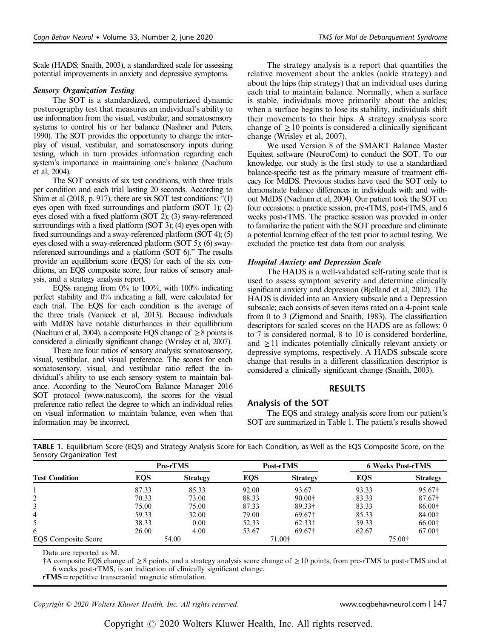Scale (HADS; Snaith, 2003), a standardized scale for assessing potential improvements in anxiety and depressive symptoms.

## Sensory Organization Testing

The SOT is a standardized, computerized dynamic posturography test that measures an individual's ability to use information from the visual, vestibular, and somatosensory systems to control his or her balance (Nashner and Peters, 1990). The SOT provides the opportunity to change the interplay of visual, vestibular, and somatosensory inputs during testing, which in turn provides information regarding each system's importance in maintaining one's balance (Nachum et al, 2004).

The SOT consists of six test conditions, with three trials per condition and each trial lasting 20 seconds. According to Shim et al (2018, p. 917), there are six SOT test conditions: "(1) eyes open with fixed surroundings and platform (SOT 1); (2) eyes closed with a fixed platform (SOT 2); (3) sway-referenced surroundings with a fixed platform (SOT 3); (4) eyes open with fixed surroundings and a sway-referenced platform (SOT 4); (5) eyes closed with a sway-referenced platform (SOT 5); (6) swayreferenced surroundings and a platform (SOT 6)." The results provide an equilibrium score (EQS) for each of the six conditions, an EQS composite score, four ratios of sensory analysis, and a strategy analysis report.

EQSs ranging from 0% to 100%, with 100% indicating perfect stability and 0% indicating a fall, were calculated for each trial. The EQS for each condition is the average of the three trials (Vanicek et al, 2013). Because individuals with MdDS have notable disturbances in their equillibrium (Nachum et al, 2004), a composite EQS change of  $\geq 8$  points is considered a clinically significant change (Wrisley et al, 2007).

There are four ratios of sensory analysis: somatosensory, visual, vestibular, and visual preference. The scores for each somatosensory, visual, and vestibular ratio reflect the individual's ability to use each sensory system to maintain balance. According to the NeuroCom Balance Manager 2016 SOT protocol (www.natus.com), the scores for the visual preference ratio reflect the degree to which an individual relies on visual information to maintain balance, even when that information may be incorrect.

The strategy analysis is a report that quantifies the relative movement about the ankles (ankle strategy) and about the hips (hip strategy) that an individual uses during each trial to maintain balance. Normally, when a surface is stable, individuals move primarily about the ankles; when a surface begins to lose its stability, individuals shift their movements to their hips. A strategy analysis score change of  $\geq 10$  points is considered a clinically significant change (Wrisley et al, 2007).

We used Version 8 of the SMART Balance Master Equitest software (NeuroCom) to conduct the SOT. To our knowledge, our study is the first study to use a standardized balance-specific test as the primary measure of treatment efficacy for MdDS. Previous studies have used the SOT only to demonstrate balance differences in individuals with and without MdDS (Nachum et al, 2004). Our patient took the SOT on four occasions: a practice session, pre-rTMS, post-rTMS, and 6 weeks post-rTMS. The practice session was provided in order to familiarize the patient with the SOT procedure and eliminate a potential learning effect of the test prior to actual testing. We excluded the practice test data from our analysis.

# Hospital Anxiety and Depression Scale

The HADS is a well-validated self-rating scale that is used to assess symptom severity and determine clinically significant anxiety and depression (Bjelland et al, 2002). The HADS is divided into an Anxiety subscale and a Depression subscale; each consists of seven items rated on a 4-point scale from 0 to 3 (Zigmond and Snaith, 1983). The classification descriptors for scaled scores on the HADS are as follows: 0 to 7 is considered normal, 8 to 10 is considered borderline, and  $\geq$  11 indicates potentially clinically relevant anxiety or depressive symptoms, respectively. A HADS subscale score change that results in a different classification descriptor is considered a clinically significant change (Snaith, 2003).

# RESULTS

# Analysis of the SOT

The EQS and strategy analysis score from our patient's SOT are summarized in Table 1. The patient's results showed

| <b>JEHSULY ULGAHIZALIUI TEST</b> |                 |                 |            |                 |                          |                 |  |
|----------------------------------|-----------------|-----------------|------------|-----------------|--------------------------|-----------------|--|
|                                  | <b>Pre-rTMS</b> |                 | Post-rTMS  |                 | <b>6 Weeks Post-rTMS</b> |                 |  |
| <b>Test Condition</b>            | <b>EQS</b>      | <b>Strategy</b> | <b>EQS</b> | <b>Strategy</b> | EQS                      | <b>Strategy</b> |  |
|                                  | 87.33           | 85.33           | 92.00      | 93.67           | 93.33                    | 95.67†          |  |
|                                  | 70.33           | 73.00           | 88.33      | 90.00†          | 83.33                    | 87.67†          |  |
|                                  | 75.00           | 75.00           | 87.33      | $89.33\dagger$  | 83.33                    | 86.00†          |  |
| 4                                | 59.33           | 32.00           | 79.00      | $69.67+$        | 85.33                    | 84.00†          |  |
|                                  | 38.33           | 0.00            | 52.33      | 62.33†          | 59.33                    | 66.00+          |  |
| 6                                | 26.00           | 4.00            | 53.67      | $69.67+$        | 62.67                    | 67.00†          |  |
| <b>EQS</b> Composite Score       | 54.00           |                 | 71.00†     |                 | 75.00†                   |                 |  |

TABLE 1. Equilibrium Score (EQS) and Strategy Analysis Score for Each Condition, as Well as the EQS Composite Score, on the Sensory Organization Test

Data are reported as M.

†A composite EQS change of ≥8 points, and a strategy analysis score change of ≥10 points, from pre-rTMS to post-rTMS and at 6 weeks post-rTMS, is an indication of clinically significant change.

rTMS =repetitive transcranial magnetic stimulation.

Copyright © 2020 Wolters Kluwer Health, Inc. All rights reserved. www.cogbehavneurol.com | 147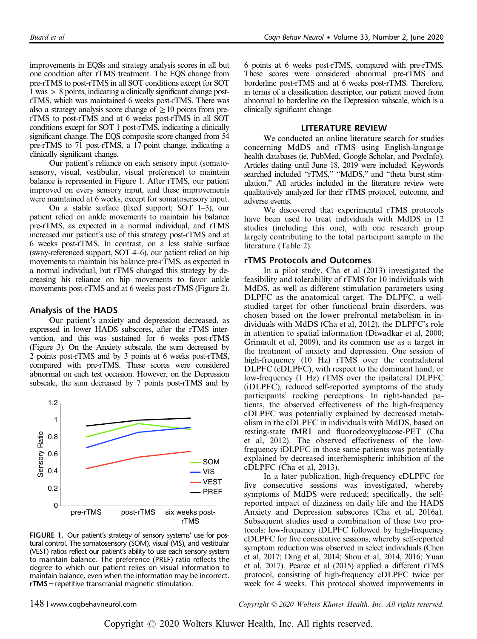improvements in EQSs and strategy analysis scores in all but one condition after rTMS treatment. The EQS change from pre-rTMS to post-rTMS in all SOT conditions except for SOT 1 was > 8 points, indicating a clinically significant change postrTMS, which was maintained 6 weeks post-rTMS. There was also a strategy analysis score change of  $\geq 10$  points from prerTMS to post-rTMS and at 6 weeks post-rTMS in all SOT conditions except for SOT 1 post-rTMS, indicating a clinically significant change. The EQS composite score changed from 54 pre-rTMS to 71 post-rTMS, a 17-point change, indicating a clinically significant change.

Our patient's reliance on each sensory input (somatosensory, visual, vestibular, visual preference) to maintain balance is represented in Figure 1. After rTMS, our patient improved on every sensory input, and these improvements were maintained at 6 weeks, except for somatosensory input.

On a stable surface (fixed support; SOT 1–3), our patient relied on ankle movements to maintain his balance pre-rTMS, as expected in a normal individual, and rTMS increased our patient's use of this strategy post-rTMS and at 6 weeks post-rTMS. In contrast, on a less stable surface (sway-referenced support, SOT 4–6), our patient relied on hip movements to maintain his balance pre-rTMS, as expected in a normal individual, but rTMS changed this strategy by decreasing his reliance on hip movements to favor ankle movements post-rTMS and at 6 weeks post-rTMS (Figure 2).

### Analysis of the HADS

Our patient's anxiety and depression decreased, as expressed in lower HADS subscores, after the rTMS intervention, and this was sustained for 6 weeks post-rTMS (Figure 3). On the Anxiety subscale, the sum decreased by 2 points post-rTMS and by 3 points at 6 weeks post-rTMS, compared with pre-rTMS. These scores were considered abnormal on each test occasion. However, on the Depression subscale, the sum decreased by 7 points post-rTMS and by



FIGURE 1. Our patient's strategy of sensory systems' use for postural control. The somatosensory (SOM), visual (VIS), and vestibular (VEST) ratios reflect our patient's ability to use each sensory system to maintain balance. The preference (PREF) ratio reflects the degree to which our patient relies on visual information to maintain balance, even when the information may be incorrect. rTMS=repetitive transcranial magnetic stimulation.

6 points at 6 weeks post-rTMS, compared with pre-rTMS. These scores were considered abnormal pre-rTMS and borderline post-rTMS and at 6 weeks post-rTMS. Therefore, in terms of a classification descriptor, our patient moved from abnormal to borderline on the Depression subscale, which is a clinically significant change.

## LITERATURE REVIEW

We conducted an online literature search for studies concerning MdDS and rTMS using English-language health databases (ie, PubMed, Google Scholar, and PsycInfo). Articles dating until June 18, 2019 were included. Keywords searched included "rTMS," "MdDS," and "theta burst stimulation." All articles included in the literature review were qualitatively analyzed for their rTMS protocol, outcome, and adverse events.

We discovered that experimental rTMS protocols have been used to treat individuals with MdDS in 12 studies (including this one), with one research group largely contributing to the total participant sample in the literature (Table 2).

## rTMS Protocols and Outcomes

In a pilot study, Cha et al (2013) investigated the feasibility and tolerability of rTMS for 10 individuals with MdDS, as well as different stimulation parameters using DLPFC as the anatomical target. The DLPFC, a wellstudied target for other functional brain disorders, was chosen based on the lower prefrontal metabolism in individuals with MdDS (Cha et al, 2012), the DLPFC's role in attention to spatial information (Diwadkar et al, 2000; Grimault et al, 2009), and its common use as a target in the treatment of anxiety and depression. One session of high-frequency (10 Hz) rTMS over the contralateral DLPFC (cDLPFC), with respect to the dominant hand, or low-frequency (1 Hz) rTMS over the ipsilateral DLPFC (iDLPFC), reduced self-reported symptoms of the study participants' rocking perceptions. In right-handed patients, the observed effectiveness of the high-frequency cDLPFC was potentially explained by decreased metabolism in the cDLPFC in individuals with MdDS, based on resting-state fMRI and fluorodeoxyglucose-PET (Cha et al, 2012). The observed effectiveness of the lowfrequency iDLPFC in those same patients was potentially explained by decreased interhemispheric inhibition of the cDLPFC (Cha et al, 2013).

In a later publication, high-frequency cDLPFC for five consecutive sessions was investigated, whereby symptoms of MdDS were reduced; specifically, the selfreported impact of dizziness on daily life and the HADS Anxiety and Depression subscores (Cha et al, 2016a). Subsequent studies used a combination of these two protocols: low-frequency iDLPFC followed by high-frequency cDLPFC for five consecutive sessions, whereby self-reported symptom reduction was observed in select individuals (Chen et al, 2017; Ding et al, 2014; Shou et al, 2014, 2016; Yuan et al, 2017). Pearce et al (2015) applied a different rTMS protocol, consisting of high-frequency cDLPFC twice per week for 4 weeks. This protocol showed improvements in

148 | www.cogbehavneurol.com Copyright © 2020 Wolters Kluwer Health, Inc. All rights reserved.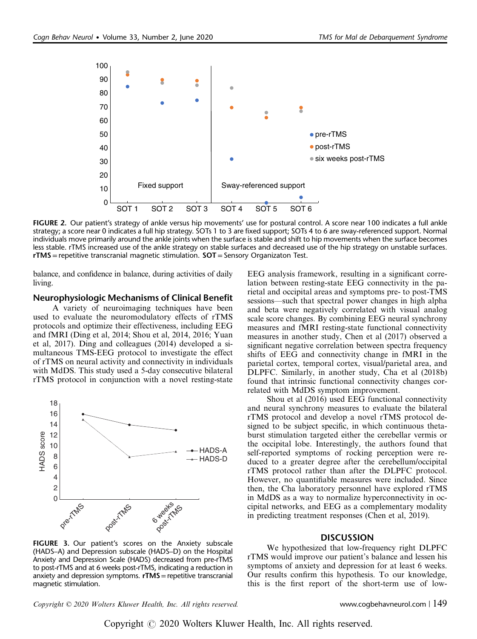

FIGURE 2. Our patient's strategy of ankle versus hip movements' use for postural control. A score near 100 indicates a full ankle strategy; a score near 0 indicates a full hip strategy. SOTs 1 to 3 are fixed support; SOTs 4 to 6 are sway-referenced support. Normal individuals move primarily around the ankle joints when the surface is stable and shift to hip movements when the surface becomes less stable. rTMS increased use of the ankle strategy on stable surfaces and decreased use of the hip strategy on unstable surfaces.  $rTMS$  = repetitive transcranial magnetic stimulation.  $SOT$  = Sensory Organizaton Test.

balance, and confidence in balance, during activities of daily living.

#### Neurophysiologic Mechanisms of Clinical Benefit

A variety of neuroimaging techniques have been used to evaluate the neuromodulatory effects of rTMS protocols and optimize their effectiveness, including EEG and fMRI (Ding et al, 2014; Shou et al, 2014, 2016; Yuan et al, 2017). Ding and colleagues (2014) developed a simultaneous TMS-EEG protocol to investigate the effect of rTMS on neural activity and connectivity in individuals with MdDS. This study used a 5-day consecutive bilateral rTMS protocol in conjunction with a novel resting-state



FIGURE 3. Our patient's scores on the Anxiety subscale (HADS–A) and Depression subscale (HADS–D) on the Hospital Anxiety and Depression Scale (HADS) decreased from pre-rTMS to post-rTMS and at 6 weeks post-rTMS, indicating a reduction in anxiety and depression symptoms.  $rTMS$  = repetitive transcranial magnetic stimulation.

EEG analysis framework, resulting in a significant correlation between resting-state EEG connectivity in the parietal and occipital areas and symptoms pre- to post-TMS sessions—such that spectral power changes in high alpha and beta were negatively correlated with visual analog scale score changes. By combining EEG neural synchrony measures and fMRI resting-state functional connectivity measures in another study, Chen et al (2017) observed a significant negative correlation between spectra frequency shifts of EEG and connectivity change in fMRI in the parietal cortex, temporal cortex, visual/parietal area, and DLPFC. Similarly, in another study, Cha et al (2018b) found that intrinsic functional connectivity changes correlated with MdDS symptom improvement.

Shou et al (2016) used EEG functional connectivity and neural synchrony measures to evaluate the bilateral rTMS protocol and develop a novel rTMS protocol designed to be subject specific, in which continuous thetaburst stimulation targeted either the cerebellar vermis or the occipital lobe. Interestingly, the authors found that self-reported symptoms of rocking perception were reduced to a greater degree after the cerebellum/occipital rTMS protocol rather than after the DLPFC protocol. However, no quantifiable measures were included. Since then, the Cha laboratory personnel have explored rTMS in MdDS as a way to normalize hyperconnectivity in occipital networks, and EEG as a complementary modality in predicting treatment responses (Chen et al, 2019).

#### **DISCUSSION**

We hypothesized that low-frequency right DLPFC rTMS would improve our patient's balance and lessen his symptoms of anxiety and depression for at least 6 weeks. Our results confirm this hypothesis. To our knowledge, this is the first report of the short-term use of low-

Copyright © 2020 Wolters Kluwer Health, Inc. All rights reserved. www.cogbehavneurol.com | 149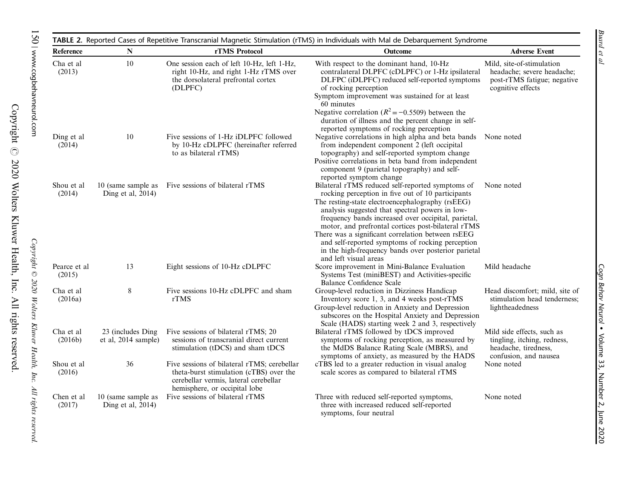| Reference              | ${\bf N}$                                                                                                                                                              | rTMS Protocol                                                                                                                        | <b>Outcome</b>                                                                                                                                                                                                                                                                                                                                                                                                                                           | <b>Adverse Event</b>                                                                                        |
|------------------------|------------------------------------------------------------------------------------------------------------------------------------------------------------------------|--------------------------------------------------------------------------------------------------------------------------------------|----------------------------------------------------------------------------------------------------------------------------------------------------------------------------------------------------------------------------------------------------------------------------------------------------------------------------------------------------------------------------------------------------------------------------------------------------------|-------------------------------------------------------------------------------------------------------------|
| Cha et al<br>(2013)    | $10\,$                                                                                                                                                                 | One session each of left 10-Hz, left 1-Hz,<br>right 10-Hz, and right 1-Hz rTMS over<br>the dorsolateral prefrontal cortex<br>(DLPFC) | With respect to the dominant hand, 10-Hz<br>contralateral DLPFC (cDLPFC) or 1-Hz ipsilateral<br>DLFPC (iDLPFC) reduced self-reported symptoms<br>of rocking perception<br>Symptom improvement was sustained for at least<br>60 minutes                                                                                                                                                                                                                   | Mild, site-of-stimulation<br>headache; severe headache;<br>post-rTMS fatigue; negative<br>cognitive effects |
| Ding et al<br>(2014)   | 10                                                                                                                                                                     | Five sessions of 1-Hz iDLPFC followed<br>by 10-Hz cDLPFC (hereinafter referred<br>to as bilateral rTMS)                              | Negative correlation ( $R^2 = -0.5509$ ) between the<br>duration of illness and the percent change in self-<br>reported symptoms of rocking perception<br>Negative correlations in high alpha and beta bands None noted<br>from independent component 2 (left occipital<br>topography) and self-reported symptom change<br>Positive correlations in beta band from independent<br>component 9 (parietal topography) and self-<br>reported symptom change |                                                                                                             |
| Shou et al.<br>(2014)  | 10 (same sample as<br>Ding et al, 2014)                                                                                                                                | Five sessions of bilateral rTMS                                                                                                      | Bilateral rTMS reduced self-reported symptoms of<br>rocking perception in five out of 10 participants<br>The resting-state electroencephalography (rsEEG)<br>analysis suggested that spectral powers in low-<br>frequency bands increased over occipital, parietal,<br>motor, and prefrontal cortices post-bilateral rTMS<br>There was a significant correlation between rsEEG<br>and self-reported symptoms of rocking perception                       | None noted                                                                                                  |
| Pearce et al<br>(2015) | 13                                                                                                                                                                     | Eight sessions of 10-Hz cDLPFC                                                                                                       | in the high-frequency bands over posterior parietal<br>and left visual areas<br>Score improvement in Mini-Balance Evaluation<br>Systems Test (miniBEST) and Activities-specific<br><b>Balance Confidence Scale</b>                                                                                                                                                                                                                                       | Mild headache                                                                                               |
| Cha et al<br>(2016a)   | 8                                                                                                                                                                      | Five sessions 10-Hz cDLPFC and sham<br>rTMS                                                                                          | Group-level reduction in Dizziness Handicap<br>Inventory score 1, 3, and 4 weeks post-rTMS<br>Group-level reduction in Anxiety and Depression<br>subscores on the Hospital Anxiety and Depression                                                                                                                                                                                                                                                        | Head discomfort; mild, site of<br>stimulation head tenderness;<br>lightheadedness                           |
| Cha et al<br>(2016b)   | 23 (includes Ding)<br>et al, 2014 sample)                                                                                                                              | Five sessions of bilateral rTMS; 20<br>sessions of transcranial direct current<br>stimulation (tDCS) and sham tDCS                   | Scale (HADS) starting week 2 and 3, respectively<br>Bilateral rTMS followed by tDCS improved<br>symptoms of rocking perception, as measured by<br>the MdDS Balance Rating Scale (MBRS), and<br>symptoms of anxiety, as measured by the HADS                                                                                                                                                                                                              | Mild side effects, such as<br>tingling, itching, redness,<br>headache, tiredness,<br>confusion, and nausea  |
| Shou et al<br>(2016)   | 36<br>Five sessions of bilateral rTMS; cerebellar<br>theta-burst stimulation (cTBS) over the<br>cerebellar vermis, lateral cerebellar<br>hemisphere, or occipital lobe |                                                                                                                                      | cTBS led to a greater reduction in visual analog<br>scale scores as compared to bilateral rTMS                                                                                                                                                                                                                                                                                                                                                           | None noted                                                                                                  |
| Chen et al<br>(2017)   | 10 (same sample as<br>Ding et al, $2014$ )                                                                                                                             | Five sessions of bilateral rTMS                                                                                                      | Three with reduced self-reported symptoms,<br>three with increased reduced self-reported<br>symptoms, four neutral                                                                                                                                                                                                                                                                                                                                       | None noted                                                                                                  |

Copyright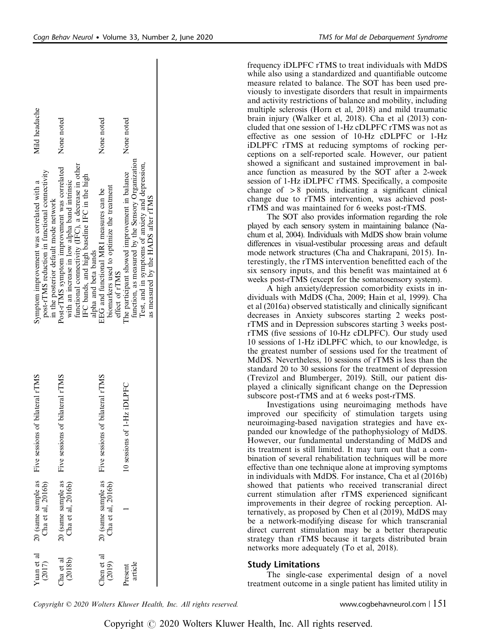frequency iDLPFC rTMS to treat individuals with MdDS while also using a standardized and quantifiable outcome measure related to balance. The SOT has been used previously to investigate disorders that result in impairments and activity restrictions of balance and mobility, including multiple sclerosis (Horn et al, 2018) and mild traumatic brain injury (Walker et al, 2018). Cha et al (2013) concluded that one session of 1-Hz cDLPFC rTMS was not as effective as one session of 10-Hz cDLPFC or 1-Hz iDLPFC rTMS at reducing symptoms of rocking perceptions on a self-reported scale. However, our patient showed a significant and sustained improvement in balance function as measured by the SOT after a 2-week session of 1-Hz iDLPFC rTMS. Specifically, a composite change of  $> 8$  points, indicating a significant clinical change due to rTMS intervention, was achieved postrTMS and was maintained for 6 weeks post-rTMS.

The SOT also provides information regarding the role played by each sensory system in maintaining balance (Nachum et al, 2004). Individuals with MdDS show brain volume differences in visual-vestibular processing areas and default mode network structures (Cha and Chakrapani, 2015). Interestingly, the rTMS intervention benefitted each of the six sensory inputs, and this benefit was maintained at 6 weeks post-rTMS (except for the somatosensory system).

A high anxiety/depression comorbidity exists in individuals with MdDS (Cha, 2009; Hain et al, 1999). Cha et al (2016a) observed statistically and clinically significant decreases in Anxiety subscores starting 2 weeks postrTMS and in Depression subscores starting 3 weeks postrTMS (five sessions of 10-Hz cDLPFC). Our study used 10 sessions of 1-Hz iDLPFC which, to our knowledge, is the greatest number of sessions used for the treatment of MdDS. Nevertheless, 10 sessions of rTMS is less than the standard 20 to 30 sessions for the treatment of depression (Trevizol and Blumberger, 2019). Still, our patient displayed a clinically significant change on the Depression subscore post-rTMS and at 6 weeks post-rTMS.

Investigations using neuroimaging methods have improved our specificity of stimulation targets using neuroimaging-based navigation strategies and have expanded our knowledge of the pathophysiology of MdDS. However, our fundamental understanding of MdDS and its treatment is still limited. It may turn out that a combination of several rehabilitation techniques will be more effective than one technique alone at improving symptoms in individuals with MdDS. For instance, Cha et al (2016b) showed that patients who received transcranial direct current stimulation after rTMS experienced significant improvements in their degree of rocking perception. Alternatively, as proposed by Chen et al (2019), MdDS may be a network-modifying disease for which transcranial direct current stimulation may be a better therapeutic strategy than rTMS because it targets distributed brain networks more adequately (To et al, 2018).

# Study Limitations

The single-case experimental design of a novel treatment outcome in a single patient has limited utility in

|  | Copyright © 2020 Wolters Kluwer Health, Inc. All rights reserved. |
|--|-------------------------------------------------------------------|
|--|-------------------------------------------------------------------|

#### Mild headache Mild headache None noted None noted None noted None noted None noted None noted function, as measured by the Sensory Organization function, as measured by the Sensory Organization Test, and in symptoms of anxiety and depression, functional connectivity (IFC), a decrease in other functional connectivity (IFC), a decrease in other Test, and in symptoms of anxiety and depression Post-rTMS symptom improvement was correlated Five sessions of bilateral rTMS Post-rTMS symptom improvement was correlated post-rTMS reduction in functional connectivity post-rTMS reduction in functional connectivity The participant showed improvement in balance IFC bands, and high baseline IFC in the high 1 10 sessions of 1-Hz iDLPFC The participant showed improvement in balance IFC bands, and high baseline IFC in the high with an increase in low alpha band intrinsic symptom improvement was correlated with a Five sessions of bilateral rTMS Symptom improvement was correlated with a with an increase in low alpha band intrinsic biomarkers used to optimize the treatment biomarkers used to optimize the treatment EEG and functional MRI measures can be Five sessions of bilateral rTMS EEG and functional MRI measures can be as measured by the HADS after rTMS as measured by the HADS after rTMS in the posterior default mode network in the posterior default mode network alpha and beta bands alpha and beta bands effect of rTMS effect of rTMS Five sessions of bilateral rTMS Five sessions of bilateral rTMS Five sessions of bilateral rTMS 10 sessions of 1-Hz iDLPF 20 (same sample as  $20$  (same sample as<br>Cha et al,  $2016b)$ 20 (same sample as 20 (same sample as Cha et al. 2016b) Cha et al, 2016b) 20 (same sample as Cha et al, 2016b) 20 (same sample as Cha et al, 2016b) Cha et al, 2016b) Yuan et al Yuan et al Chen et al Chen et al (2018b) Cha et al (2017) Cha et al (2019) article Present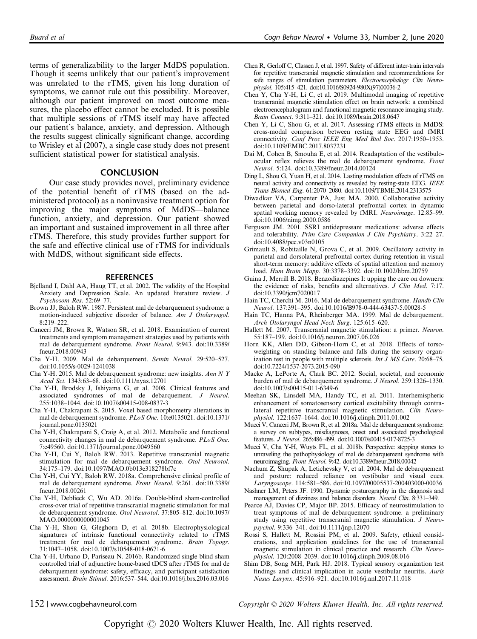terms of generalizability to the larger MdDS population. Though it seems unlikely that our patient's improvement was unrelated to the rTMS, given his long duration of symptoms, we cannot rule out this possibility. Moreover, although our patient improved on most outcome measures, the placebo effect cannot be excluded. It is possible that multiple sessions of rTMS itself may have affected our patient's balance, anxiety, and depression. Although the results suggest clinically significant change, according to Wrisley et al (2007), a single case study does not present sufficient statistical power for statistical analysis.

#### **CONCLUSION**

Our case study provides novel, preliminary evidence of the potential benefit of rTMS (based on the administered protocol) as a noninvasive treatment option for improving the major symptoms of MdDS—balance function, anxiety, and depression. Our patient showed an important and sustained improvement in all three after rTMS. Therefore, this study provides further support for the safe and effective clinical use of rTMS for individuals with MdDS, without significant side effects.

#### **REFERENCES**

- Bjelland I, Dahl AA, Haug TT, et al. 2002. The validity of the Hospital Anxiety and Depression Scale. An updated literature review. J Psychosom Res. 52:69–77.
- Brown JJ, Baloh RW. 1987. Persistent mal de debarquement syndrome: a motion-induced subjective disorder of balance. Am J Otolaryngol.  $8.219 - 222$
- Canceri JM, Brown R, Watson SR, et al. 2018. Examination of current treatments and symptom management strategies used by patients with mal de debarquement syndrome. Front Neurol. 9:943. doi:10.3389/ fneur.2018.00943
- Cha Y-H. 2009. Mal de debarquement. Semin Neurol. 29:520–527. doi:10.1055/s-0029-1241038
- Cha Y-H. 2015. Mal de debarquement syndrome: new insights. Ann N Y Acad Sci. 1343:63–68. doi:10.1111/nyas.12701
- Cha Y-H, Brodsky J, Ishiyama G, et al. 2008. Clinical features and associated syndromes of mal de debarquement. J Neurol. 255:1038–1044. doi:10.1007/s00415-008-0837-3
- Cha Y-H, Chakrapani S. 2015. Voxel based morphometry alterations in mal de debarquement syndrome. PLoS One. 10:e0135021. doi:10.1371/ journal.pone.0135021
- Cha Y-H, Chakrapani S, Craig A, et al. 2012. Metabolic and functional connectivity changes in mal de debarquement syndrome. PLoS One. 7:e49560. doi:10.1371/journal.pone.0049560
- Cha Y-H, Cui Y, Baloh RW. 2013. Repetitive transcranial magnetic stimulation for mal de debarquement syndrome. Otol Neurotol. 34:175–179. doi:10.1097/MAO.0b013e318278bf7c
- Cha Y-H, Cui YY, Baloh RW. 2018a. Comprehensive clinical profile of mal de debarquement syndrome. Front Neurol. 9:261. doi:10.3389/ fneur.2018.00261
- Cha Y-H, Deblieck C, Wu AD. 2016a. Double-blind sham-controlled cross-over trial of repetitive transcranial magnetic stimulation for mal de debarquement syndrome. Otol Neurotol. 37:805–812. doi:10.1097/ MAO.00000000000001045
- Cha Y-H, Shou G, Gleghorn D, et al. 2018b. Electrophysiological signatures of intrinsic functional connectivity related to rTMS treatment for mal de debarquement syndrome. Brain Topogr. 31:1047–1058. doi:10.1007/s10548-018-0671-6
- Cha Y-H, Urbano D, Pariseau N. 2016b. Randomized single blind sham controlled trial of adjunctive home-based tDCS after rTMS for mal de debarquement syndrome: safety, efficacy, and participant satisfaction assessment. Brain Stimul. 2016:537–544. doi:10.1016/j.brs.2016.03.016
- Chen R, Gerloff C, Classen J, et al. 1997. Safety of different inter-train intervals for repetitive transcranial magnetic stimulation and recommendations for safe ranges of stimulation parameters. Electroencephalogr Clin Neurophysiol. 105:415–421. doi:10.1016/S0924-980X(97)00036-2
- Chen Y, Cha Y-H, Li C, et al. 2019. Multimodal imaging of repetitive transcranial magnetic stimulation effect on brain network: a combined electroencephalogram and functional magnetic resonance imaging study. Brain Connect. 9:311–321. doi:10.1089/brain.2018.0647
- Chen Y, Li C, Shou G, et al. 2017. Assessing rTMS effects in MdDS: cross-modal comparison between resting state EEG and fMRI connectivity. Conf Proc IEEE Eng Med Biol Soc. 2017:1950–1953. doi:10.1109/EMBC.2017.8037231
- Dai M, Cohen B, Smouha E, et al. 2014. Readaptation of the vestibuloocular reflex relieves the mal de debarquement syndrome. Front Neurol. 5:124. doi:10.3389/fneur.2014.00124
- Ding L, Shou G, Yuan H, et al. 2014. Lasting modulation effects of rTMS on neural activity and connectivity as revealed by resting-state EEG. IEEE Trans Biomed Eng. 61:2070–2080. doi:10.1109/TBME.2014.2313575
- Diwadkar VA, Carpenter PA, Just MA. 2000. Collaborative activity between parietal and dorso-lateral prefrontal cortex in dynamic spatial working memory revealed by fMRI. Neuroimage. 12:85–99. doi:10.1006/nimg.2000.0586
- Ferguson JM. 2001. SSRI antidepressant medications: adverse effects and tolerability. Prim Care Companion J Clin Psychiatry. 3:22–27. doi:10.4088/pcc.v03n0105
- Grimault S, Robitaille N, Grova C, et al. 2009. Oscillatory activity in parietal and dorsolateral prefrontal cortex during retention in visual short-term memory: additive effects of spatial attention and memory load. Hum Brain Mapp. 30:3378–3392. doi:10.1002/hbm.20759
- Guina J, Merrill B. 2018. Benzodiazepines I: upping the care on downers: the evidence of risks, benefits and alternatives. J Clin Med. 7:17. doi:10.3390/jcm7020017
- Hain TC, Cherchi M. 2016. Mal de debarquement syndrome. Handb Clin Neurol. 137:391–395. doi:10.1016/B978-0-444-63437-5.00028-5
- Hain TC, Hanna PA, Rheinberger MA. 1999. Mal de debarquement. Arch Otolaryngol Head Neck Surg. 125:615–620.
- Hallett M. 2007. Transcranial magnetic stimulation: a primer. Neuron. 55:187–199. doi:10.1016/j.neuron.2007.06.026
- Horn KK, Allen DD, Gibson-Horn C, et al. 2018. Effects of torsoweighting on standing balance and falls during the sensory organization test in people with multiple sclerosis. Int J MS Care. 20:68–75. doi:10.7224/1537-2073.2015-090
- Macke A, LePorte A, Clark BC. 2012. Social, societal, and economic burden of mal de debarquement syndrome. J Neurol. 259:1326–1330. doi:10.1007/s00415-011-6349-6
- Meehan SK, Linsdell MA, Handy TC, et al. 2011. Interhemispheric enhancement of somatosensory cortical excitability through contralateral repetitive transcranial magnetic stimulation. Clin Neurophysiol. 122:1637–1644. doi:10.1016/j.clinph.2011.01.002
- Mucci V, Canceri JM, Brown R, et al. 2018a. Mal de debarquement syndrome: a survey on subtypes, misdiagnoses, onset and associated psychological features. J Neurol. 265:486–499. doi:10.1007/s00415-017-8725-3
- Mucci V, Cha Y-H, Wuyts FL, et al. 2018b. Perspective: stepping stones to unraveling the pathophysiology of mal de debarquement syndrome with neuroimaging. Front Neurol. 9:42. doi:10.3389/fneur.2018.00042
- Nachum Z, Shupak A, Letichevsky V, et al. 2004. Mal de debarquement and posture: reduced reliance on vestibular and visual cues. Laryngoscope. 114:581–586. doi:10.1097/00005537-200403000-00036
- Nashner LM, Peters JF. 1990. Dynamic posturography in the diagnosis and management of dizziness and balance disorders. Neurol Clin. 8:331–349.
- Pearce AJ, Davies CP, Major BP. 2015. Efficacy of neurostimulation to treat symptoms of mal de debarquement syndrome. a preliminary study using repetitive transcranial magnetic stimulation. J Neuropsychol. 9:336–341. doi:10.1111/jnp.12070
- Rossi S, Hallett M, Rossini PM, et al. 2009. Safety, ethical considerations, and application guidelines for the use of transcranial magnetic stimulation in clinical practice and research. Clin Neurophysiol. 120:2008–2039. doi:10.1016/j.clinph.2009.08.016
- Shim DB, Song MH, Park HJ. 2018. Typical sensory organization test findings and clinical implication in acute vestibular neuritis. Auris Nasus Larynx. 45:916–921. doi:10.1016/j.anl.2017.11.018

152 | www.cogbehavneurol.com Copyright © 2020 Wolters Kluwer Health, Inc. All rights reserved.